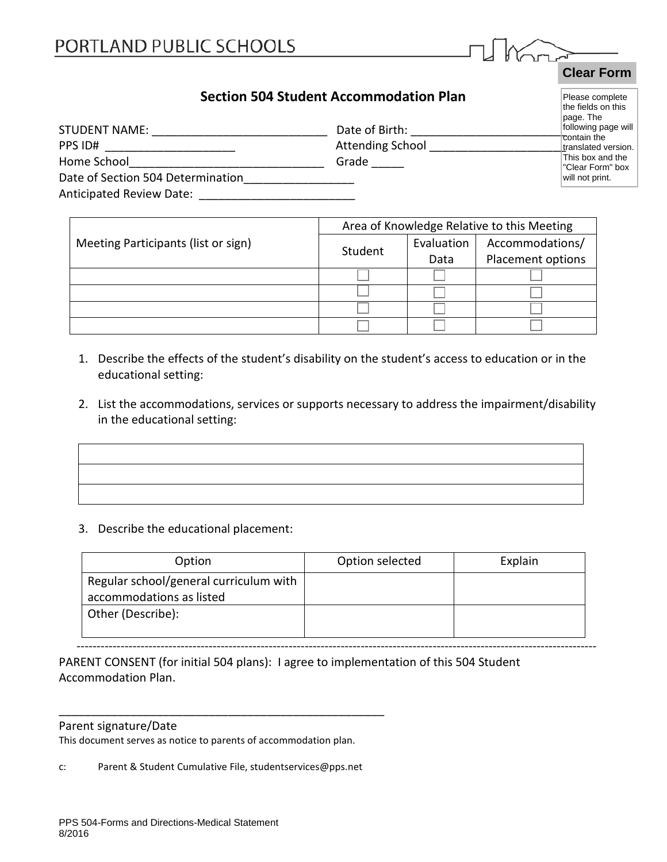| PORTLAND PUBLIC SCHOOLS |  |
|-------------------------|--|
|                         |  |

### **Clear Form**

Please complete the fields on this

## **Section 504 Student Accommodation Plan**

| <b>STUDENT NAME:</b><br>PPS ID#   | Date of Birth:<br><b>Attending School</b> | page. The<br>following page will<br>contain the<br>translated version. |
|-----------------------------------|-------------------------------------------|------------------------------------------------------------------------|
| Home School                       | Grade                                     | This box and the<br>"Clear Form" box                                   |
| Date of Section 504 Determination |                                           | will not print.                                                        |
| <b>Anticipated Review Date:</b>   |                                           |                                                                        |

|                                     | Area of Knowledge Relative to this Meeting |            |                   |
|-------------------------------------|--------------------------------------------|------------|-------------------|
| Meeting Participants (list or sign) | Student                                    | Evaluation | Accommodations/   |
|                                     |                                            | Data       | Placement options |
|                                     |                                            |            |                   |
|                                     |                                            |            |                   |
|                                     |                                            |            |                   |
|                                     |                                            |            |                   |

- 1. Describe the effects of the student's disability on the student's access to education or in the educational setting:
- 2. List the accommodations, services or supports necessary to address the impairment/disability in the educational setting:

#### 3. Describe the educational placement:

| Option                                                             | Option selected | Explain |
|--------------------------------------------------------------------|-----------------|---------|
| Regular school/general curriculum with<br>accommodations as listed |                 |         |
| Other (Describe):                                                  |                 |         |

 ---------------------------------------------------------------------------------------------------------------------------------- PARENT CONSENT (for initial 504 plans): I agree to implementation of this 504 Student Accommodation Plan.

#### Parent signature/Date

I

This document serves as notice to parents of accommodation plan.

\_\_\_\_\_\_\_\_\_\_\_\_\_\_\_\_\_\_\_\_\_\_\_\_\_\_\_\_\_\_\_\_\_\_\_\_\_\_\_\_\_\_\_\_\_\_\_\_\_\_

c: Parent & Student Cumulative File, studentservices@pps.net